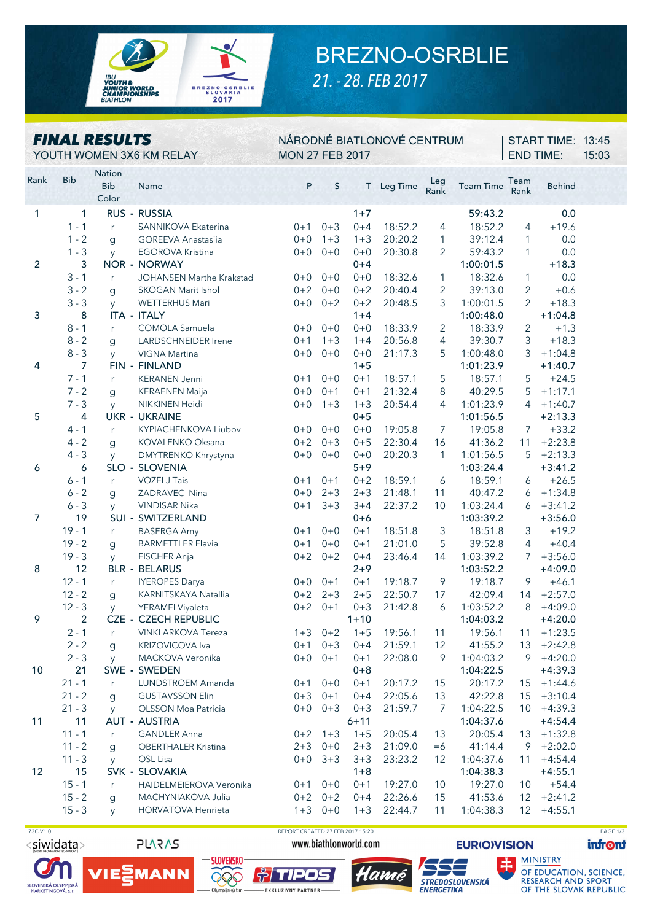

## BREZNO-OSRBLIE

*21. - 28. FEB 2017*

| <b>FINAL RESULTS</b><br>YOUTH WOMEN 3X6 KM RELAY |            |                                      | NÁRODNÉ BIATLONOVÉ CENTRUM<br><b>MON 27 FEB 2017</b> |         |           |          |            |                |                  | START TIME: 13:45<br><b>END TIME:</b> |               |  |  |
|--------------------------------------------------|------------|--------------------------------------|------------------------------------------------------|---------|-----------|----------|------------|----------------|------------------|---------------------------------------|---------------|--|--|
| Rank                                             | <b>Bib</b> | <b>Nation</b><br><b>Bib</b><br>Color | Name                                                 | P       | $\sf S$   |          | T Leg Time | Leg<br>Rank    | <b>Team Time</b> | Team<br>Rank                          | <b>Behind</b> |  |  |
| 1                                                | 1          |                                      | RUS - RUSSIA                                         |         |           | $1+7$    |            |                | 59:43.2          |                                       | 0.0           |  |  |
|                                                  | $1 - 1$    | r.                                   | SANNIKOVA Ekaterina                                  | $0 + 1$ | $0 + 3$   | $0 + 4$  | 18:52.2    | 4              | 18:52.2          | $\overline{4}$                        | $+19.6$       |  |  |
|                                                  | $1 - 2$    | $\mathbf{g}$                         | <b>GOREEVA Anastasiia</b>                            | $0 + 0$ | $1 + 3$   | $1 + 3$  | 20:20.2    | 1              | 39:12.4          | 1                                     | 0.0           |  |  |
|                                                  | $1 - 3$    | y                                    | <b>EGOROVA Kristina</b>                              | $0 + 0$ | $0 + 0$   | $0 + 0$  | 20:30.8    | $\overline{2}$ | 59:43.2          | $\mathbf{1}$                          | 0.0           |  |  |
| 2                                                | 3          |                                      | <b>NOR - NORWAY</b>                                  |         |           | $0 + 4$  |            |                | 1:00:01.5        |                                       | $+18.3$       |  |  |
|                                                  | $3 - 1$    | r                                    | JOHANSEN Marthe Krakstad                             | $0 + 0$ | $0 + 0$   | $0 + 0$  | 18:32.6    | $\mathbf{1}$   | 18:32.6          | 1                                     | 0.0           |  |  |
|                                                  | $3 - 2$    | g                                    | <b>SKOGAN Marit Ishol</b>                            | $0 + 2$ | $0 + 0$   | $0 + 2$  | 20:40.4    | 2              | 39:13.0          | $\overline{2}$                        | $+0.6$        |  |  |
|                                                  | $3 - 3$    | <b>y</b>                             | <b>WETTERHUS Mari</b>                                | $0+0$   | $0 + 2$   | $0 + 2$  | 20:48.5    | 3              | 1:00:01.5        | $\overline{2}$                        | $+18.3$       |  |  |
| 3                                                | 8          |                                      | ITA - ITALY                                          |         |           | $1 + 4$  |            |                | 1:00:48.0        |                                       | $+1:04.8$     |  |  |
|                                                  | $8 - 1$    | $r_{\parallel}$                      | COMOLA Samuela                                       | $0+0$   | $0 + 0$   | $0 + 0$  | 18:33.9    | $\overline{2}$ | 18:33.9          | $\overline{c}$                        | $+1.3$        |  |  |
|                                                  | $8 - 2$    | $\mathbf{g}$                         | LARDSCHNEIDER Irene                                  | $0 + 1$ | $1 + 3$   | $1 + 4$  | 20:56.8    | $\overline{4}$ | 39:30.7          | 3                                     | $+18.3$       |  |  |
|                                                  | $8 - 3$    | <b>y</b>                             | VIGNA Martina                                        | $0+0$   | $0 + 0$   | $0 + 0$  | 21:17.3    | 5              | 1:00:48.0        | 3                                     | $+1:04.8$     |  |  |
| 4                                                | 7          |                                      | FIN - FINLAND                                        |         |           | $1 + 5$  |            |                | 1:01:23.9        |                                       | $+1:40.7$     |  |  |
|                                                  | $7 - 1$    | r                                    | <b>KERANEN Jenni</b>                                 | $0 + 1$ | $0 + 0$   | $0 + 1$  | 18:57.1    | 5              | 18:57.1          | 5                                     | $+24.5$       |  |  |
|                                                  | $7 - 2$    | g                                    | <b>KERAENEN Maija</b>                                | $0+0$   | $0 + 1$   | $0 + 1$  | 21:32.4    | 8              | 40:29.5          | 5                                     | $+1:17.1$     |  |  |
|                                                  | $7 - 3$    | y                                    | NIKKINEN Heidi                                       | $0+0$   | $1 + 3$   | $1 + 3$  | 20:54.4    | 4              | 1:01:23.9        | 4                                     | $+1:40.7$     |  |  |
| 5                                                | 4          |                                      | <b>UKR - UKRAINE</b>                                 |         |           | $0 + 5$  |            |                | 1:01:56.5        |                                       | $+2:13.3$     |  |  |
|                                                  | $4 - 1$    | r                                    | KYPIACHENKOVA Liubov                                 | $0 + 0$ | $0 + 0$   | $0 + 0$  | 19:05.8    | 7              | 19:05.8          | 7                                     | $+33.2$       |  |  |
|                                                  | $4 - 2$    | $\mathbf{g}$                         | KOVALENKO Oksana                                     | $0 + 2$ | $0 + 3$   | $0 + 5$  | 22:30.4    | 16             | 41:36.2          | 11                                    | $+2:23.8$     |  |  |
|                                                  | $4 - 3$    | y                                    | DMYTRENKO Khrystyna                                  | $0+0$   | $0 + 0$   | $0 + 0$  | 20:20.3    | 1              | 1:01:56.5        | 5                                     | $+2:13.3$     |  |  |
| 6                                                | 6          |                                      | SLO - SLOVENIA                                       |         |           | $5 + 9$  |            |                | 1:03:24.4        |                                       | $+3:41.2$     |  |  |
|                                                  | $6 - 1$    | r                                    | <b>VOZELJ Tais</b>                                   | $0 + 1$ | $0 + 1$   | $0 + 2$  | 18:59.1    | 6              | 18:59.1          | 6                                     | $+26.5$       |  |  |
|                                                  | $6 - 2$    | $\mathbf{g}$                         | ZADRAVEC Nina                                        | $0+0$   | $2 + 3$   | $2 + 3$  | 21:48.1    | 11             | 40:47.2          | 6                                     | $+1:34.8$     |  |  |
|                                                  | $6 - 3$    | y                                    | VINDISAR Nika                                        | $0 + 1$ | $3 + 3$   | $3 + 4$  | 22:37.2    | 10             | 1:03:24.4        | 6                                     | $+3:41.2$     |  |  |
| $\overline{7}$                                   | 19         |                                      | SUI - SWITZERLAND                                    |         |           | $0 + 6$  |            |                | 1:03:39.2        |                                       | $+3:56.0$     |  |  |
|                                                  | $19 - 1$   | r                                    | <b>BASERGA Amy</b>                                   | $0 + 1$ | $0 + 0$   | $0 + 1$  | 18:51.8    | 3              | 18:51.8          | 3                                     | $+19.2$       |  |  |
|                                                  | $19 - 2$   | g                                    | <b>BARMETTLER Flavia</b>                             | $0 + 1$ | $0 + 0$   | $0 + 1$  | 21:01.0    | 5              | 39:52.8          | 4                                     | $+40.4$       |  |  |
|                                                  | $19 - 3$   | y                                    | FISCHER Anja                                         | $0 + 2$ | $0 + 2$   | $0 + 4$  | 23:46.4    | 14             | 1:03:39.2        | 7                                     | $+3:56.0$     |  |  |
| 8                                                | 12         |                                      | <b>BLR - BELARUS</b>                                 |         |           | $2 + 9$  |            |                | 1:03:52.2        |                                       | $+4:09.0$     |  |  |
|                                                  | $12 - 1$   | r                                    | <b>IYEROPES Darya</b>                                | $0+0$   | $0 + 1$   | $0 + 1$  | 19:18.7    | 9              | 19:18.7          | 9                                     | $+46.1$       |  |  |
|                                                  | $12 - 2$   | $\mathbf{q}$                         | KARNITSKAYA Natallia                                 | $0 + 2$ | $2 + 3$   | $2 + 5$  | 22:50.7    | 17             | 42:09.4          | 14                                    | $+2:57.0$     |  |  |
|                                                  | $12 - 3$   | <b>V</b>                             | YERAMEI Viyaleta                                     | $0 + 2$ | $0 + 1$   | $0 + 3$  | 21:42.8    | 6              | 1:03:52.2        | 8                                     | $+4:09.0$     |  |  |
| 9                                                | 2          |                                      | <b>CZE - CZECH REPUBLIC</b>                          |         |           | $1 + 10$ |            |                | 1:04:03.2        |                                       | $+4:20.0$     |  |  |
|                                                  | $2 - 1$    | r                                    | <b>VINKLARKOVA Tereza</b>                            | $1 + 3$ | $0 + 2$   | $1 + 5$  | 19:56.1    | 11             | 19:56.1          | 11                                    | $+1:23.5$     |  |  |
|                                                  | $2 - 2$    | $\mathbf{g}$                         | KRIZOVICOVA Iva                                      | $0 + 1$ | $0 + 3$   | $0 + 4$  | 21:59.1    | 12             | 41:55.2          | 13                                    | $+2:42.8$     |  |  |
|                                                  | $2 - 3$    | y                                    | MACKOVA Veronika                                     | $0+0$   | $0 + 1$   | $0 + 1$  | 22:08.0    | $\mathcal{Q}$  | 1:04:03.2        | 9                                     | $+4:20.0$     |  |  |
| 10                                               | 21         |                                      | SWE - SWEDEN                                         |         |           | $0 + 8$  |            |                | 1:04:22.5        |                                       | $+4:39.3$     |  |  |
|                                                  | $21 - 1$   | r                                    | LUNDSTROEM Amanda                                    | $0 + 1$ | $0 + 0$   | $0 + 1$  | 20:17.2    | 15             | 20:17.2          | 15                                    | $+1:44.6$     |  |  |
|                                                  | $21 - 2$   | $\mathbf{q}$                         | <b>GUSTAVSSON Elin</b>                               | $0 + 3$ | $0 + 1$   | $0 + 4$  | 22:05.6    | 13             | 42:22.8          | 15                                    | $+3:10.4$     |  |  |
|                                                  | $21 - 3$   | y                                    | OLSSON Moa Patricia                                  | $0+0$   | $0 + 3$   | $0 + 3$  | 21:59.7    | $\overline{7}$ | 1:04:22.5        | 10                                    | $+4:39.3$     |  |  |
| 11                                               | 11         |                                      | AUT - AUSTRIA                                        |         |           | $6 + 11$ |            |                | 1:04:37.6        |                                       | $+4:54.4$     |  |  |
|                                                  | $11 - 1$   | r                                    | <b>GANDLER Anna</b>                                  |         | $0+2$ 1+3 | $1 + 5$  | 20:05.4    | 13             | 20:05.4          | 13                                    | $+1:32.8$     |  |  |
|                                                  | $11 - 2$   | $\mathbf{g}$                         | <b>OBERTHALER Kristina</b>                           | $2 + 3$ | $0 + 0$   | $2 + 3$  | 21:09.0    | $=6$           | 41:14.4          | 9                                     | $+2:02.0$     |  |  |
|                                                  | $11 - 3$   | y                                    | OSL Lisa                                             | $0+0$   | $3 + 3$   | $3 + 3$  | 23:23.2    | 12             | 1:04:37.6        | 11                                    | $+4:54.4$     |  |  |
| 12                                               | 15         |                                      | SVK - SLOVAKIA                                       |         |           | $1 + 8$  |            |                | 1:04:38.3        |                                       | $+4:55.1$     |  |  |
|                                                  | $15 - 1$   | r.                                   | HAIDELMEIEROVA Veronika                              | $0 + 1$ | $0 + 0$   | $0 + 1$  | 19:27.0    | 10             | 19:27.0          | 10                                    | $+54.4$       |  |  |
|                                                  | $15 - 2$   | g                                    | MACHYNIAKOVA Julia                                   | $0+2$   | $0 + 2$   | $0 + 4$  | 22:26.6    | 15             | 41:53.6          | 12 <sup>2</sup>                       | $+2:41.2$     |  |  |
|                                                  | $15 - 3$   | <b>y</b>                             | <b>HORVATOVA Henrieta</b>                            | $1 + 3$ | $0+0$     | $1 + 3$  | 22:44.7    | 11             | 1:04:38.3        | 12 <sup>2</sup>                       | $+4:55.1$     |  |  |

73C V1.0 REPORT CREATED 27 FEB 2017 15:20 PAGE 1/3

<siwidata> SLOVENSKÁ OLYMPIJSKÁ<br>MARKETINGOVÁ, a. s.





**EXKLUZÍVNY PARTNER** 



www.biathlonworld.com



**EURIO)VISION** 

**infront** 

**MINISTRY OF EDUCATION, SCIENCE,<br>RESEARCH AND SPORT<br>OF THE SLOVAK REPUBLIC**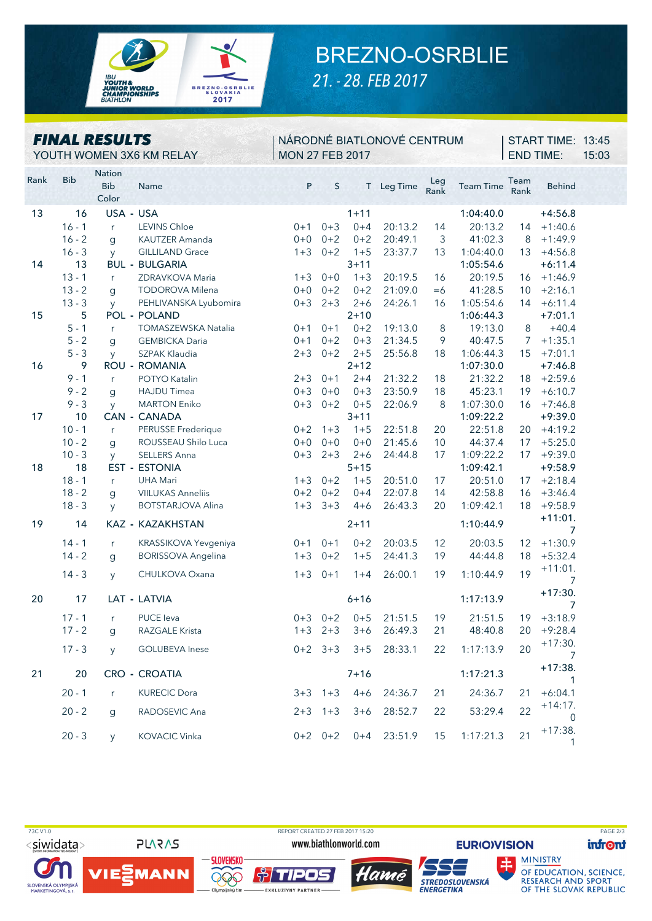

YOUTH WOMEN 3X6 KM RELAY MON 27 FEB 2017

*FINAL RESULTS*

## BREZNO-OSRBLIE *21. - 28. FEB 2017*

NÁRODNÉ BIATLONOVÉ CENTRUM

Rank Bib Nation Name P S T Leg Time Leg Rank Team Time Bib Behind Team Rank Color 13 16 USA **-** USA 1+11 1:04:40.0 +4:56.8 16 - 1 <sup>r</sup> LEVINS Chloe 0+1 0+3 0+4 20:13.2 14 20:13.2 14 +1:40.6 16 - 2 g KAUTZER Amanda 0+0 0+2 0+2 20:49.1 3 41:02.3 8 +1:49.9 16 - 3 y GILLILAND Grace 1+3 0+2 1+5 23:37.7 13 1:04:40.0 13 +4:56.8 14 13 BUL **-** BULGARIA 3+11 1:05:54.6 +6:11.4 13 - 1 <sup>r</sup> ZDRAVKOVA Maria 1+3 0+0 1+3 20:19.5 16 20:19.5 16 +1:46.9 13 - 2 g TODOROVA Milena 0+0 0+2 0+2 21:09.0 =6 41:28.5 10 +2:16.1 13 - 3 y PEHLIVANSKA Lyubomira 0+3 2+3 2+6 24:26.1 16 1:05:54.6 14 +6:11.4 15 5 POL **-** POLAND 2+10 1:06:44.3 +7:01.1 5 - 1 <sup>r</sup> TOMASZEWSKA Natalia 0+1 0+1 0+2 19:13.0 8 19:13.0 8 +40.4 5 - 2 g GEMBICKA Daria 0+1 0+2 0+3 21:34.5 9 40:47.5 7 +1:35.1 5 - 3 y SZPAK Klaudia 2+3 0+2 2+5 25:56.8 18 1:06:44.3 15 +7:01.1 16 9 ROU **-** ROMANIA 2+12 1:07:30.0 +7:46.8 9 - 1 <sup>r</sup> POTYO Katalin 2+3 0+1 2+4 21:32.2 18 21:32.2 18 +2:59.6 9 - 2 g HAJDU Timea 0+3 0+0 0+3 23:50.9 18 45:23.1 19 +6:10.7 9 - 3 y MARTON Eniko 0+3 0+2 0+5 22:06.9 8 1:07:30.0 16 +7:46.8 17 10 CAN **-** CANADA 3+11 1:09:22.2 +9:39.0 10 - 1 <sup>r</sup> PERUSSE Frederique 0+2 1+3 1+5 22:51.8 20 22:51.8 20 +4:19.2 10 - 2 g ROUSSEAU Shilo Luca 0+0 0+0 0+0 21:45.6 10 44:37.4 17 +5:25.0 10 - 3 y SELLERS Anna 0+3 2+3 2+6 24:44.8 17 1:09:22.2 17 +9:39.0 18 18 EST **-** ESTONIA 5+15 1:09:42.1 +9:58.9 18 - 1 <sup>r</sup> UHA Mari 1+3 0+2 1+5 20:51.0 17 20:51.0 17 +2:18.4 18 - 2 g VIILUKAS Anneliis 0+2 0+2 0+4 22:07.8 14 42:58.8 16 +3:46.4 18 - 3 y BOTSTARJOVA Alina 1+3 3+3 4+6 26:43.3 20 1:09:42.1 18 +9:58.9 19 14 KAZ **-** KAZAKHSTAN 2+11 1:10:44.9 +11:01. 7 14 - 1 <sup>r</sup> KRASSIKOVA Yevgeniya 0+1 0+1 0+2 20:03.5 12 20:03.5 12 +1:30.9 14 - 2 g BORISSOVA Angelina 1+3 0+2 1+5 24:41.3 19 44:44.8 18 +5:32.4 14 - 3 y CHULKOVA Oxana 1+3 0+1 1+4 26:00.1 19 1:10:44.9 19 +11:01. 7 20 17 LAT **-** LATVIA 6+16 1:17:13.9 +17:30. 7 17 - 1 <sup>r</sup> PUCE Ieva 0+3 0+2 0+5 21:51.5 19 21:51.5 19 +3:18.9 17 - 2 g RAZGALE Krista 1+3 2+3 3+6 26:49.3 21 48:40.8 20 +9:28.4 17 - 3 y GOLUBEVA Inese 0+2 3+3 3+5 28:33.1 22 1:17:13.9 20 +17:30. 7 21 20 CRO **-** CROATIA 7+16 1:17:21.3 +17:38. 1 20 - 1 <sup>r</sup> KURECIC Dora 3+3 1+3 4+6 24:36.7 21 24:36.7 21 +6:04.1 20 - 2 g RADOSEVIC Ana 2 2+3 1+3 3+6 28:52.7 22 53:29.4 22 +14:17.  $\Omega$ +17:38.



SLOVENSKÁ OLYMPIJSKÁ<br>MARKETINGOVÁ, a. s.

 $IIE$ 

73C V1.0 REPORT CREATED 27 FEB 2017 15:20 PAGE 2/3

906

**PLARAS** 

**MANN** 

www.biathlonworld.com

TIDOS

**EXKLUZÍVNY PARTNER** 

20 - 3 y KOVACIC Vinka 0+2 0+2 0+4 23:51.9 15 1:17:21.3 21







OF EDUCATION, SCIENCE, **RESEARCH AND SPORT** OF THE SLOVAK REPUBLIC

1

END TIME: 15:03 **START TIME: 13:45**